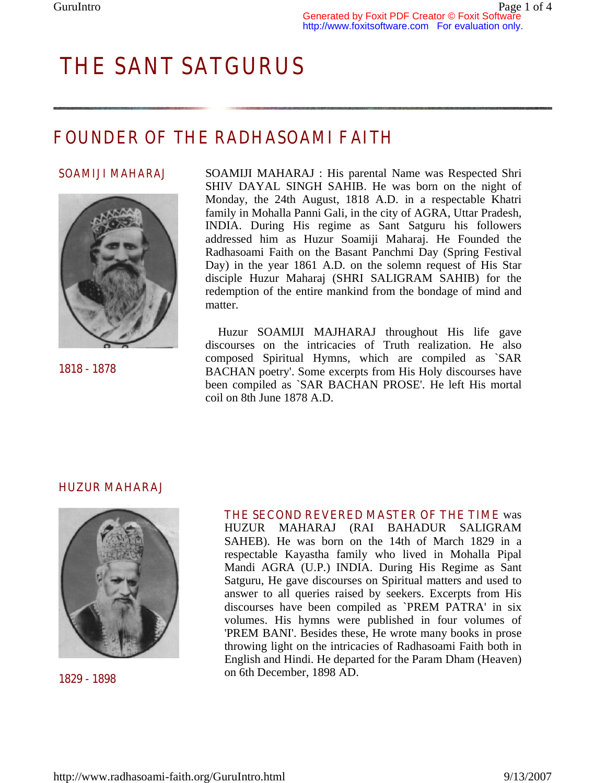# *THE SANT SATGURUS*

## *FOUNDER OF THE RADHASOAMI FAITH*

#### *SOAMIJI MAHARAJ*



**1818 - 1878**

SOAMIJI MAHARAJ : His parental Name was Respected Shri SHIV DAYAL SINGH SAHIB. He was born on the night of Monday, the 24th August, 1818 A.D. in a respectable Khatri family in Mohalla Panni Gali, in the city of AGRA, Uttar Pradesh, INDIA. During His regime as Sant Satguru his followers addressed him as Huzur Soamiji Maharaj. He Founded the Radhasoami Faith on the Basant Panchmi Day (Spring Festival Day) in the year 1861 A.D. on the solemn request of His Star disciple Huzur Maharaj (SHRI SALIGRAM SAHIB) for the redemption of the entire mankind from the bondage of mind and matter.

 Huzur SOAMIJI MAJHARAJ throughout His life gave discourses on the intricacies of Truth realization. He also composed Spiritual Hymns, which are compiled as `SAR BACHAN poetry'. Some excerpts from His Holy discourses have been compiled as `SAR BACHAN PROSE'. He left His mortal coil on 8th June 1878 A.D.

#### **HUZUR MAHARAJ**



**1829 - 1898**

**THE SECOND REVERED MASTER OF THE TIME** was HUZUR MAHARAJ (RAI BAHADUR SALIGRAM SAHEB). He was born on the 14th of March 1829 in a respectable Kayastha family who lived in Mohalla Pipal Mandi AGRA (U.P.) INDIA. During His Regime as Sant Satguru, He gave discourses on Spiritual matters and used to answer to all queries raised by seekers. Excerpts from His discourses have been compiled as `PREM PATRA' in six volumes. His hymns were published in four volumes of 'PREM BANI'. Besides these, He wrote many books in prose throwing light on the intricacies of Radhasoami Faith both in English and Hindi. He departed for the Param Dham (Heaven) on 6th December, 1898 AD.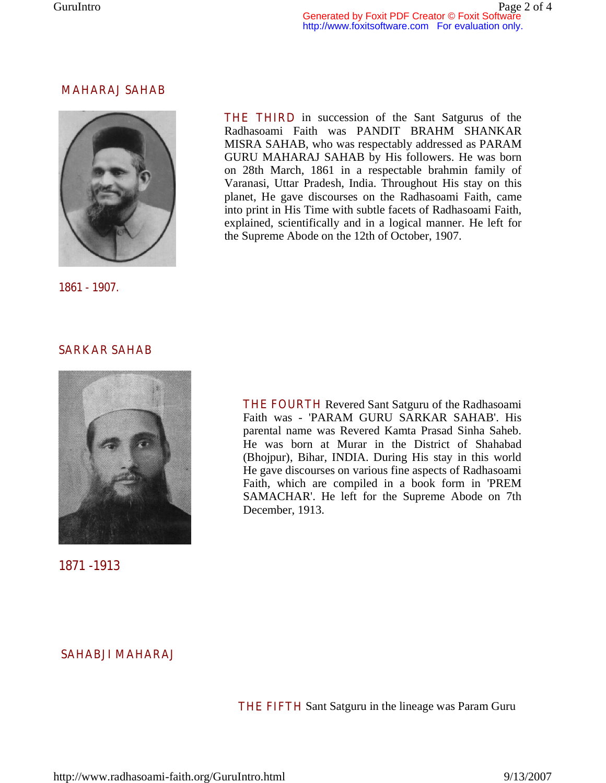#### **MAHARAJ SAHAB**



**1861 - 1907.**

**THE THIRD** in succession of the Sant Satgurus of the Radhasoami Faith was PANDIT BRAHM SHANKAR MISRA SAHAB, who was respectably addressed as PARAM GURU MAHARAJ SAHAB by His followers. He was born on 28th March, 1861 in a respectable brahmin family of Varanasi, Uttar Pradesh, India. Throughout His stay on this planet, He gave discourses on the Radhasoami Faith, came into print in His Time with subtle facets of Radhasoami Faith, explained, scientifically and in a logical manner. He left for the Supreme Abode on the 12th of October, 1907.

#### **SARKAR SAHAB**



**1871 -1913** 

**THE FOURTH** Revered Sant Satguru of the Radhasoami Faith was - 'PARAM GURU SARKAR SAHAB'. His parental name was Revered Kamta Prasad Sinha Saheb. He was born at Murar in the District of Shahabad (Bhojpur), Bihar, INDIA. During His stay in this world He gave discourses on various fine aspects of Radhasoami Faith, which are compiled in a book form in 'PREM SAMACHAR'. He left for the Supreme Abode on 7th December, 1913.

### **SAHABJI MAHARAJ**

**THE FIFTH** Sant Satguru in the lineage was Param Guru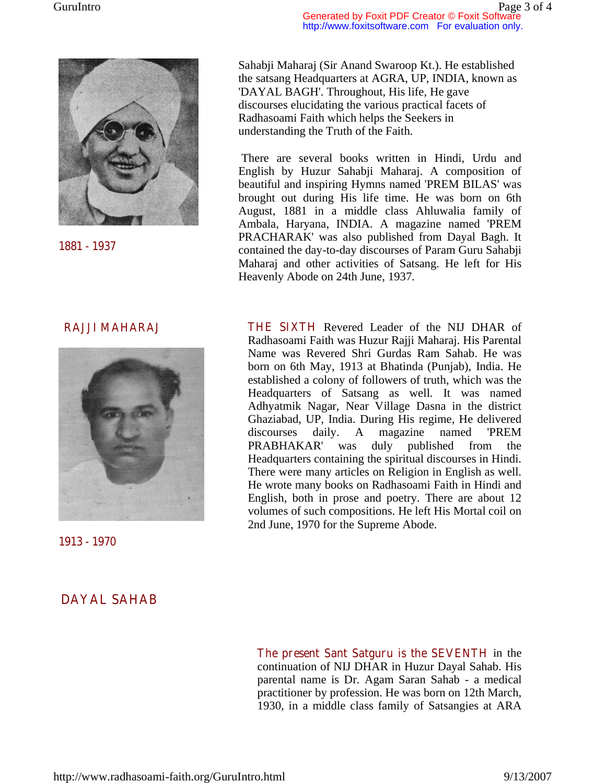

**1881 - 1937** 

Sahabji Maharaj (Sir Anand Swaroop Kt.). He established the satsang Headquarters at AGRA, UP, INDIA, known as 'DAYAL BAGH'. Throughout, His life, He gave discourses elucidating the various practical facets of Radhasoami Faith which helps the Seekers in understanding the Truth of the Faith.

 There are several books written in Hindi, Urdu and English by Huzur Sahabji Maharaj. A composition of beautiful and inspiring Hymns named 'PREM BILAS' was brought out during His life time. He was born on 6th August, 1881 in a middle class Ahluwalia family of Ambala, Haryana, INDIA. A magazine named 'PREM PRACHARAK' was also published from Dayal Bagh. It contained the day-to-day discourses of Param Guru Sahabji Maharaj and other activities of Satsang. He left for His Heavenly Abode on 24th June, 1937.

### **RAJJI MAHARAJ**



**1913 - 1970**

**DAYAL SAHAB** 

**THE SIXTH** Revered Leader of the NIJ DHAR of Radhasoami Faith was Huzur Rajji Maharaj. His Parental Name was Revered Shri Gurdas Ram Sahab. He was born on 6th May, 1913 at Bhatinda (Punjab), India. He established a colony of followers of truth, which was the Headquarters of Satsang as well. It was named Adhyatmik Nagar, Near Village Dasna in the district Ghaziabad, UP, India. During His regime, He delivered discourses daily. A magazine named 'PREM PRABHAKAR' was duly published from the Headquarters containing the spiritual discourses in Hindi. There were many articles on Religion in English as well. He wrote many books on Radhasoami Faith in Hindi and English, both in prose and poetry. There are about 12 volumes of such compositions. He left His Mortal coil on 2nd June, 1970 for the Supreme Abode.

**The present Sant Satguru is the SEVENTH** in the continuation of NIJ DHAR in Huzur Dayal Sahab. His parental name is Dr. Agam Saran Sahab - a medical practitioner by profession. He was born on 12th March, 1930, in a middle class family of Satsangies at ARA